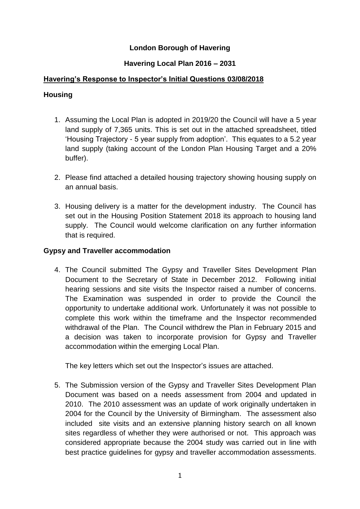# **London Borough of Havering**

# **Havering Local Plan 2016 – 2031**

### **Havering's Response to Inspector's Initial Questions 03/08/2018**

### **Housing**

- 1. Assuming the Local Plan is adopted in 2019/20 the Council will have a 5 year land supply of 7,365 units. This is set out in the attached spreadsheet, titled 'Housing Trajectory - 5 year supply from adoption'. This equates to a 5.2 year land supply (taking account of the London Plan Housing Target and a 20% buffer).
- 2. Please find attached a detailed housing trajectory showing housing supply on an annual basis.
- 3. Housing delivery is a matter for the development industry. The Council has set out in the Housing Position Statement 2018 its approach to housing land supply. The Council would welcome clarification on any further information that is required.

### **Gypsy and Traveller accommodation**

4. The Council submitted The Gypsy and Traveller Sites Development Plan Document to the Secretary of State in December 2012. Following initial hearing sessions and site visits the Inspector raised a number of concerns. The Examination was suspended in order to provide the Council the opportunity to undertake additional work. Unfortunately it was not possible to complete this work within the timeframe and the Inspector recommended withdrawal of the Plan. The Council withdrew the Plan in February 2015 and a decision was taken to incorporate provision for Gypsy and Traveller accommodation within the emerging Local Plan.

The key letters which set out the Inspector's issues are attached.

5. The Submission version of the Gypsy and Traveller Sites Development Plan Document was based on a needs assessment from 2004 and updated in 2010. The 2010 assessment was an update of work originally undertaken in 2004 for the Council by the University of Birmingham. The assessment also included site visits and an extensive planning history search on all known sites regardless of whether they were authorised or not. This approach was considered appropriate because the 2004 study was carried out in line with best practice guidelines for gypsy and traveller accommodation assessments.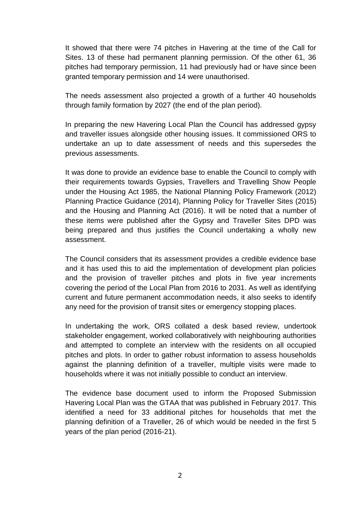It showed that there were 74 pitches in Havering at the time of the Call for Sites. 13 of these had permanent planning permission. Of the other 61, 36 pitches had temporary permission, 11 had previously had or have since been granted temporary permission and 14 were unauthorised.

The needs assessment also projected a growth of a further 40 households through family formation by 2027 (the end of the plan period).

In preparing the new Havering Local Plan the Council has addressed gypsy and traveller issues alongside other housing issues. It commissioned ORS to undertake an up to date assessment of needs and this supersedes the previous assessments.

It was done to provide an evidence base to enable the Council to comply with their requirements towards Gypsies, Travellers and Travelling Show People under the Housing Act 1985, the National Planning Policy Framework (2012) Planning Practice Guidance (2014), Planning Policy for Traveller Sites (2015) and the Housing and Planning Act (2016). It will be noted that a number of these items were published after the Gypsy and Traveller Sites DPD was being prepared and thus justifies the Council undertaking a wholly new assessment.

The Council considers that its assessment provides a credible evidence base and it has used this to aid the implementation of development plan policies and the provision of traveller pitches and plots in five year increments covering the period of the Local Plan from 2016 to 2031. As well as identifying current and future permanent accommodation needs, it also seeks to identify any need for the provision of transit sites or emergency stopping places.

In undertaking the work, ORS collated a desk based review, undertook stakeholder engagement, worked collaboratively with neighbouring authorities and attempted to complete an interview with the residents on all occupied pitches and plots. In order to gather robust information to assess households against the planning definition of a traveller, multiple visits were made to households where it was not initially possible to conduct an interview.

The evidence base document used to inform the Proposed Submission Havering Local Plan was the GTAA that was published in February 2017. This identified a need for 33 additional pitches for households that met the planning definition of a Traveller, 26 of which would be needed in the first 5 years of the plan period (2016-21).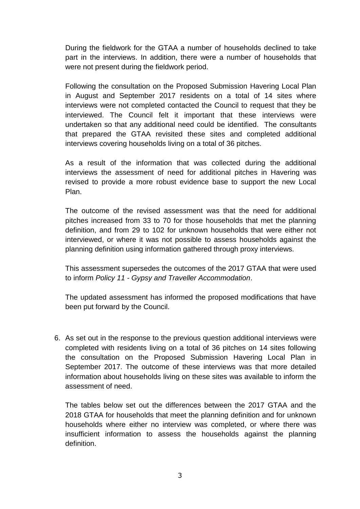During the fieldwork for the GTAA a number of households declined to take part in the interviews. In addition, there were a number of households that were not present during the fieldwork period.

Following the consultation on the Proposed Submission Havering Local Plan in August and September 2017 residents on a total of 14 sites where interviews were not completed contacted the Council to request that they be interviewed. The Council felt it important that these interviews were undertaken so that any additional need could be identified. The consultants that prepared the GTAA revisited these sites and completed additional interviews covering households living on a total of 36 pitches.

As a result of the information that was collected during the additional interviews the assessment of need for additional pitches in Havering was revised to provide a more robust evidence base to support the new Local Plan.

The outcome of the revised assessment was that the need for additional pitches increased from 33 to 70 for those households that met the planning definition, and from 29 to 102 for unknown households that were either not interviewed, or where it was not possible to assess households against the planning definition using information gathered through proxy interviews.

This assessment supersedes the outcomes of the 2017 GTAA that were used to inform *Policy 11 - Gypsy and Traveller Accommodation*.

The updated assessment has informed the proposed modifications that have been put forward by the Council.

6. As set out in the response to the previous question additional interviews were completed with residents living on a total of 36 pitches on 14 sites following the consultation on the Proposed Submission Havering Local Plan in September 2017. The outcome of these interviews was that more detailed information about households living on these sites was available to inform the assessment of need.

The tables below set out the differences between the 2017 GTAA and the 2018 GTAA for households that meet the planning definition and for unknown households where either no interview was completed, or where there was insufficient information to assess the households against the planning definition.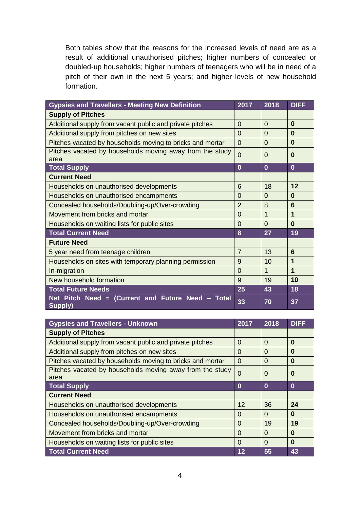Both tables show that the reasons for the increased levels of need are as a result of additional unauthorised pitches; higher numbers of concealed or doubled-up households; higher numbers of teenagers who will be in need of a pitch of their own in the next 5 years; and higher levels of new household formation.

| <b>Gypsies and Travellers - Meeting New Definition</b>           | 2017           | 2018     | <b>DIFF</b> |
|------------------------------------------------------------------|----------------|----------|-------------|
| <b>Supply of Pitches</b>                                         |                |          |             |
| Additional supply from vacant public and private pitches         | $\Omega$       | $\Omega$ | $\bf{0}$    |
| Additional supply from pitches on new sites                      | $\Omega$       | $\Omega$ | $\bf{0}$    |
| Pitches vacated by households moving to bricks and mortar        | $\Omega$       | $\Omega$ | $\bf{0}$    |
| Pitches vacated by households moving away from the study<br>area | $\Omega$       | 0        | $\bf{0}$    |
| <b>Total Supply</b>                                              | $\overline{0}$ | $\bf{0}$ | $\bf{0}$    |
| <b>Current Need</b>                                              |                |          |             |
| Households on unauthorised developments                          | 6              | 18       | 12          |
| Households on unauthorised encampments                           | $\Omega$       | $\Omega$ | $\bf{0}$    |
| Concealed households/Doubling-up/Over-crowding                   | $\overline{2}$ | 8        | 6           |
| Movement from bricks and mortar                                  | $\Omega$       | 1        | $\mathbf 1$ |
| Households on waiting lists for public sites                     | $\Omega$       | $\Omega$ | $\bf{0}$    |
| <b>Total Current Need</b>                                        | 8              | 27       | 19          |
| <b>Future Need</b>                                               |                |          |             |
| 5 year need from teenage children                                | $\overline{7}$ | 13       | 6           |
| Households on sites with temporary planning permission           | 9              | 10       | 1           |
| In-migration                                                     | $\Omega$       | 1        | $\mathbf 1$ |
| New household formation                                          | 9              | 19       | 10          |
| <b>Total Future Needs</b>                                        | 25             | 43       | 18          |
| Net Pitch Need = (Current and Future Need - Total<br>Supply)     | 33             | 70       | 37          |

| <b>Gypsies and Travellers - Unknown</b>                   | 2017     | 2018     | <b>DIFF</b> |
|-----------------------------------------------------------|----------|----------|-------------|
| <b>Supply of Pitches</b>                                  |          |          |             |
| Additional supply from vacant public and private pitches  | $\Omega$ | $\Omega$ | $\bf{0}$    |
| Additional supply from pitches on new sites               | $\Omega$ | 0        | 0           |
| Pitches vacated by households moving to bricks and mortar | $\Omega$ | $\Omega$ | $\bf{0}$    |
| Pitches vacated by households moving away from the study  | $\Omega$ | $\Omega$ | 0           |
| area                                                      |          |          |             |
| <b>Total Supply</b>                                       | $\bf{0}$ | $\bf{0}$ | $\bf{0}$    |
| <b>Current Need</b>                                       |          |          |             |
| Households on unauthorised developments                   | 12       | 36       | 24          |
| Households on unauthorised encampments                    | 0        | $\Omega$ | $\bf{0}$    |
| Concealed households/Doubling-up/Over-crowding            | $\Omega$ | 19       | 19          |
| Movement from bricks and mortar                           | $\Omega$ | $\Omega$ | $\bf{0}$    |
| Households on waiting lists for public sites              | $\Omega$ | $\Omega$ | $\bf{0}$    |
| <b>Total Current Need</b>                                 | 12       | 55       | 43          |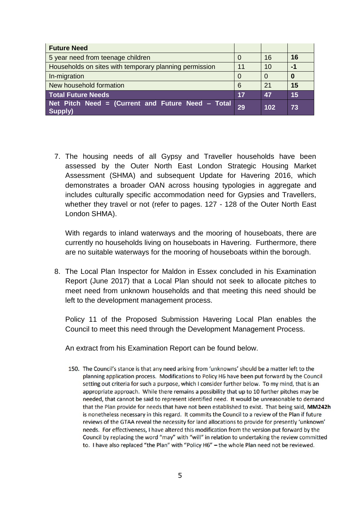| <b>Future Need</b>                                             |    |     |      |
|----------------------------------------------------------------|----|-----|------|
| 5 year need from teenage children                              |    | 16  | 16   |
| Households on sites with temporary planning permission         | 11 | 10  | $-1$ |
| In-migration                                                   |    |     | O    |
| New household formation                                        | 6  | 21  | 15   |
| <b>Total Future Needs</b>                                      | 17 | 47  | 15   |
| Net Pitch Need = (Current and Future Need $-$ Total<br>Supply) | 29 | 102 | 73   |

7. The housing needs of all Gypsy and Traveller households have been assessed by the Outer North East London Strategic Housing Market Assessment (SHMA) and subsequent Update for Havering 2016, which demonstrates a broader OAN across housing typologies in aggregate and includes culturally specific accommodation need for Gypsies and Travellers, whether they travel or not (refer to pages. 127 - 128 of the Outer North East London SHMA).

With regards to inland waterways and the mooring of houseboats, there are currently no households living on houseboats in Havering. Furthermore, there are no suitable waterways for the mooring of houseboats within the borough.

8. The Local Plan Inspector for Maldon in Essex concluded in his Examination Report (June 2017) that a Local Plan should not seek to allocate pitches to meet need from unknown households and that meeting this need should be left to the development management process.

Policy 11 of the Proposed Submission Havering Local Plan enables the Council to meet this need through the Development Management Process.

An extract from his Examination Report can be found below.

150. The Council's stance is that any need arising from 'unknowns' should be a matter left to the planning application process. Modifications to Policy H6 have been put forward by the Council setting out criteria for such a purpose, which I consider further below. To my mind, that is an appropriate approach. While there remains a possibility that up to 10 further pitches may be needed, that cannot be said to represent identified need. It would be unreasonable to demand that the Plan provide for needs that have not been established to exist. That being said, MM242h is nonetheless necessary in this regard. It commits the Council to a review of the Plan if future reviews of the GTAA reveal the necessity for land allocations to provide for presently 'unknown' needs. For effectiveness, I have altered this modification from the version put forward by the Council by replacing the word "may" with "will" in relation to undertaking the review committed to. I have also replaced "the Plan" with "Policy H6" - the whole Plan need not be reviewed.